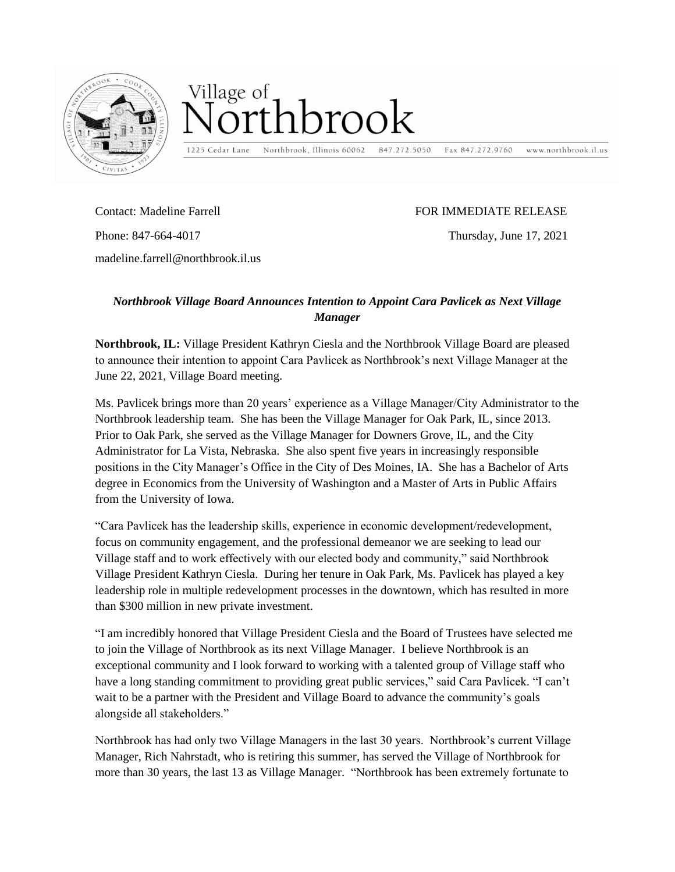

## Village of hrook

1225 Cedar Lane

Northbrook, Illinois 60062 847.272.5050

www.northbrook.il.us Fax 847.272.9760

Contact: Madeline Farrell Phone: 847-664-4017 madeline.farrell@northbrook.il.us

## FOR IMMEDIATE RELEASE

Thursday, June 17, 2021

## *Northbrook Village Board Announces Intention to Appoint Cara Pavlicek as Next Village Manager*

**Northbrook, IL:** Village President Kathryn Ciesla and the Northbrook Village Board are pleased to announce their intention to appoint Cara Pavlicek as Northbrook's next Village Manager at the June 22, 2021, Village Board meeting.

Ms. Pavlicek brings more than 20 years' experience as a Village Manager/City Administrator to the Northbrook leadership team. She has been the Village Manager for Oak Park, IL, since 2013. Prior to Oak Park, she served as the Village Manager for Downers Grove, IL, and the City Administrator for La Vista, Nebraska. She also spent five years in increasingly responsible positions in the City Manager's Office in the City of Des Moines, IA. She has a Bachelor of Arts degree in Economics from the University of Washington and a Master of Arts in Public Affairs from the University of Iowa.

"Cara Pavlicek has the leadership skills, experience in economic development/redevelopment, focus on community engagement, and the professional demeanor we are seeking to lead our Village staff and to work effectively with our elected body and community," said Northbrook Village President Kathryn Ciesla. During her tenure in Oak Park, Ms. Pavlicek has played a key leadership role in multiple redevelopment processes in the downtown, which has resulted in more than \$300 million in new private investment.

"I am incredibly honored that Village President Ciesla and the Board of Trustees have selected me to join the Village of Northbrook as its next Village Manager. I believe Northbrook is an exceptional community and I look forward to working with a talented group of Village staff who have a long standing commitment to providing great public services," said Cara Pavlicek. "I can't wait to be a partner with the President and Village Board to advance the community's goals alongside all stakeholders."

Northbrook has had only two Village Managers in the last 30 years. Northbrook's current Village Manager, Rich Nahrstadt, who is retiring this summer, has served the Village of Northbrook for more than 30 years, the last 13 as Village Manager. "Northbrook has been extremely fortunate to